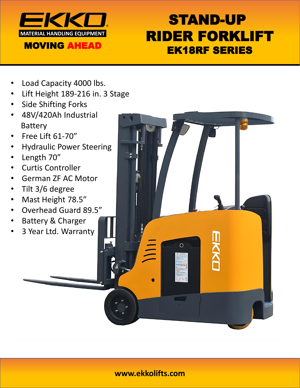

# STAND-UP RIDER FORKLIFT EK18RF SERIES

- Load Capacity 4000 lbs.
- Lift Height 189-216 in. 3 Stage
- **Side Shifting Forks**
- 48V/420Ah Industrial Battery
- Free Lift 61-70"
- Hydraulic Power Steering
- Length 70"
- Curtis Controller
- German ZF AC Motor
- Tilt 3/6 degree
- Mast Height 78.5"
- Overhead Guard 89.5"
- Battery & Charger
- 3 Year Ltd. Warranty

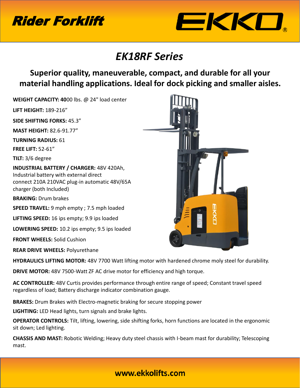



### *EK18RF Series*

#### **Superior quality, maneuverable, compact, and durable for all your material handling applications. Ideal for dock picking and smaller aisles.**

**WEIGHT CAPACITY: 40**00 lbs. @ 24" load center

**LIFT HEIGHT:** 189-216"

**SIDE SHIFTING FORKS:** 45.3"

**MAST HEIGHT:** 82.6-91.77"

**TURNING RADIUS:** 61

**FREE LIFT:** 52-61"

**TILT:** 3/6 degree

**INDUSTRIAL BATTERY / CHARGER:** 48V 420Ah, Industrial battery with external direct connect 210A 210VAC plug-in automatic 48V/65A charger (both Included)

**BRAKING:** Drum brakes

**SPEED TRAVEL:** 9 mph empty ; 7.5 mph loaded

**LIFTING SPEED:** 16 ips empty; 9.9 ips loaded

**LOWERING SPEED:** 10.2 ips empty; 9.5 ips loaded

**FRONT WHEELS:** Solid Cushion

**REAR DRIVE WHEELS:** Polyurethane

**HYDRAULICS LIFTING MOTOR:** 48V 7700 Watt lifting motor with hardened chrome moly steel for durability.

**DRIVE MOTOR:** 48V 7500-Watt ZF AC drive motor for efficiency and high torque.

**AC CONTROLLER:** 48V Curtis provides performance through entire range of speed; Constant travel speed regardless of load; Battery discharge indicator combination gauge.

**BRAKES:** Drum Brakes with Electro-magnetic braking for secure stopping power

**LIGHTING:** LED Head lights, turn signals and brake lights.

**OPERATOR CONTROLS:** Tilt, lifting, lowering, side shifting forks, horn functions are located in the ergonomic sit down; Led lighting.

**CHASSIS AND MAST:** Robotic Welding; Heavy duty steel chassis with I-beam mast for durability; Telescoping mast.



#### www.ekkolifts.com